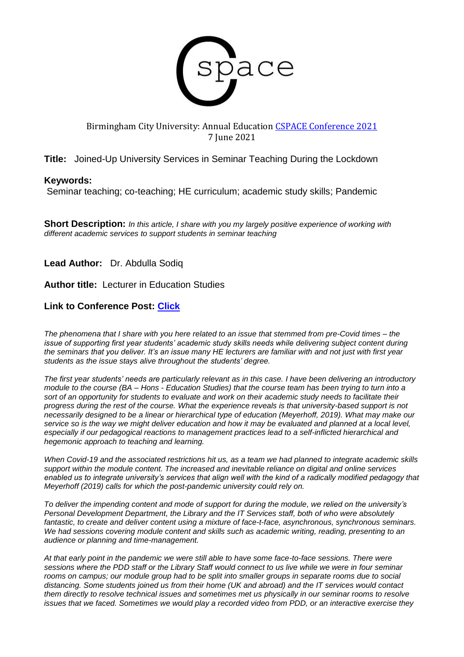

## Birmingham City University: Annual Education [CSPACE Conference 2021](https://www.bcu.ac.uk/education-and-social-work/research/news-and-events/cspace-conference-2021/blog/joined-up-university-services-in-seminar-teaching-during-the-lockdown) 7 June 2021

# **Title:** Joined-Up University Services in Seminar Teaching During the Lockdown

#### **Keywords:**

Seminar teaching; co-teaching; HE curriculum; academic study skills; Pandemic

**Short Description:** *In this article, I share with you my largely positive experience of working with different academic services to support students in seminar teaching* 

**Lead Author:** Dr. Abdulla Sodiq

**Author title:** Lecturer in Education Studies

## **Link to Conference Post: [Click](https://www.bcu.ac.uk/education-and-social-work/research/news-and-events/cspace-conference-2021/blog/joined-up-university-services-in-seminar-teaching-during-the-lockdown)**

*The phenomena that I share with you here related to an issue that stemmed from pre-Covid times – the issue of supporting first year students' academic study skills needs while delivering subject content during the seminars that you deliver. It's an issue many HE lecturers are familiar with and not just with first year students as the issue stays alive throughout the students' degree.*

*The first year students' needs are particularly relevant as in this case. I have been delivering an introductory module to the course (BA – Hons - Education Studies) that the course team has been trying to turn into a sort of an opportunity for students to evaluate and work on their academic study needs to facilitate their progress during the rest of the course. What the experience reveals is that university-based support is not necessarily designed to be a linear or hierarchical type of education (Meyerhoff, 2019). What may make our service so is the way we might deliver education and how it may be evaluated and planned at a local level, especially if our pedagogical reactions to management practices lead to a self-inflicted hierarchical and hegemonic approach to teaching and learning.*

*When Covid-19 and the associated restrictions hit us, as a team we had planned to integrate academic skills support within the module content. The increased and inevitable reliance on digital and online services enabled us to integrate university's services that align well with the kind of a radically modified pedagogy that Meyerhoff (2019) calls for which the post-pandemic university could rely on.*

*To deliver the impending content and mode of support for during the module, we relied on the university's Personal Development Department, the Library and the IT Services staff, both of who were absolutely fantastic, to create and deliver content using a mixture of face-t-face, asynchronous, synchronous seminars. We had sessions covering module content and skills such as academic writing, reading, presenting to an audience or planning and time-management.* 

*At that early point in the pandemic we were still able to have some face-to-face sessions. There were sessions where the PDD staff or the Library Staff would connect to us live while we were in four seminar rooms on campus; our module group had to be split into smaller groups in separate rooms due to social distancing. Some students joined us from their home (UK and abroad) and the IT services would contact them directly to resolve technical issues and sometimes met us physically in our seminar rooms to resolve issues that we faced. Sometimes we would play a recorded video from PDD, or an interactive exercise they*